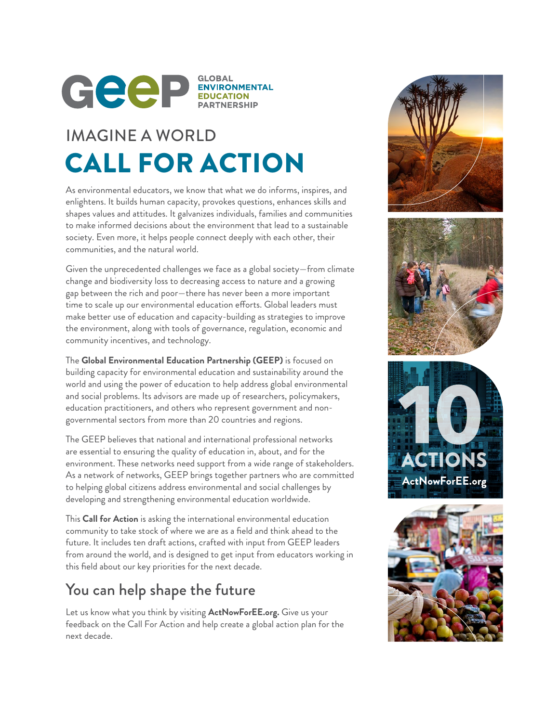

# CALL FOR ACTION IMAGINE A WORLD

As environmental educators, we know that what we do informs, inspires, and enlightens. It builds human capacity, provokes questions, enhances skills and shapes values and attitudes. It galvanizes individuals, families and communities to make informed decisions about the environment that lead to a sustainable society. Even more, it helps people connect deeply with each other, their communities, and the natural world.

Given the unprecedented challenges we face as a global society—from climate change and biodiversity loss to decreasing access to nature and a growing gap between the rich and poor—there has never been a more important time to scale up our environmental education efforts. Global leaders must make better use of education and capacity-building as strategies to improve the environment, along with tools of governance, regulation, economic and community incentives, and technology.

The **Global Environmental Education Partnership (GEEP)** is focused on building capacity for environmental education and sustainability around the world and using the power of education to help address global environmental and social problems. Its advisors are made up of researchers, policymakers, education practitioners, and others who represent government and nongovernmental sectors from more than 20 countries and regions.

The GEEP believes that national and international professional networks are essential to ensuring the quality of education in, about, and for the environment. These networks need support from a wide range of stakeholders. As a network of networks, GEEP brings together partners who are committed to helping global citizens address environmental and social challenges by developing and strengthening environmental education worldwide.

This **Call for Action** is asking the international environmental education community to take stock of where we are as a field and think ahead to the future. It includes ten draft actions, crafted with input from GEEP leaders from around the world, and is designed to get input from educators working in this field about our key priorities for the next decade.

# You can help shape the future

Let us know what you think by visiting **[ActNowForEE.org.](http://actnowforee.org/)** Give us your feedback on the Call For Action and help create a global action plan for the next decade.

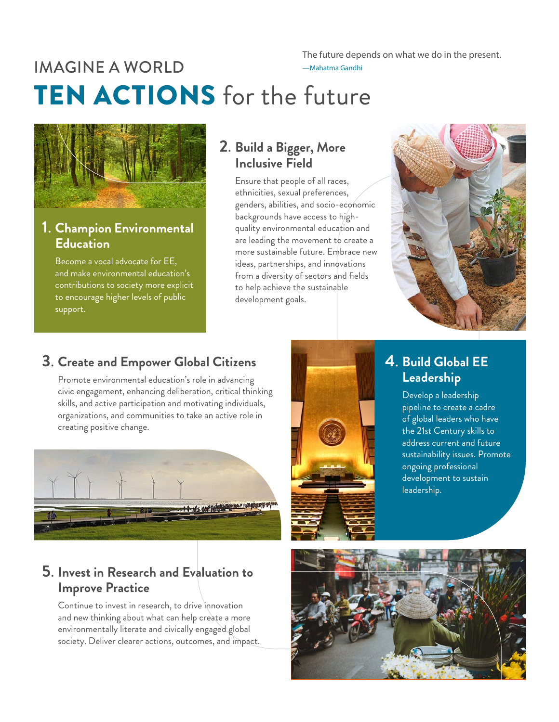The future depends on what we do in the present.

## **TEN ACTIONS** for the future —Mahatma Gandhi IMAGINE A WORLD



#### **1**. **Champion Environmental Education**

Become a vocal advocate for EE, and make environmental education's contributions to society more explicit to encourage higher levels of public support.

#### **2**. **Build a Bigger, More Inclusive Field**

Ensure that people of all races, ethnicities, sexual preferences, genders, abilities, and socio-economic backgrounds have access to highquality environmental education and are leading the movement to create a more sustainable future. Embrace new ideas, partnerships, and innovations from a diversity of sectors and fields to help achieve the sustainable development goals.



#### **3**. **Create and Empower Global Citizens**

Promote environmental education's role in advancing civic engagement, enhancing deliberation, critical thinking skills, and active participation and motivating individuals, organizations, and communities to take an active role in creating positive change.



#### **5**. **Invest in Research and Evaluation to Improve Practice**

Continue to invest in research, to drive innovation and new thinking about what can help create a more environmentally literate and civically engaged global society. Deliver clearer actions, outcomes, and impact.



#### **4**. **Build Global EE Leadership**

Develop a leadership pipeline to create a cadre of global leaders who have the 21st Century skills to address current and future sustainability issues. Promote ongoing professional development to sustain leadership.

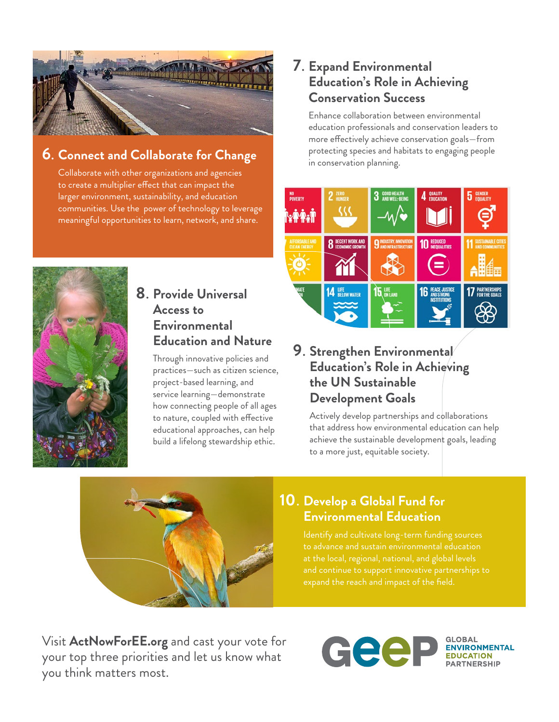

### **6**. **Connect and Collaborate for Change**

Collaborate with other organizations and agencies to create a multiplier effect that can impact the larger environment, sustainability, and education communities. Use the power of technology to leverage meaningful opportunities to learn, network, and share.

#### **8**. **Provide Universal Access to Environmental Education and Nature**

Through innovative policies and practices—such as citizen science, project-based learning, and service learning—demonstrate how connecting people of all ages to nature, coupled with effective educational approaches, can help build a lifelong stewardship ethic.

### **7**. **Expand Environmental Education's Role in Achieving Conservation Success**

Enhance collaboration between environmental education professionals and conservation leaders to more effectively achieve conservation goals—from protecting species and habitats to engaging people in conservation planning.



#### **9**. **Strengthen Environmental Education's Role in Achieving the UN Sustainable Development Goals**

Actively develop partnerships and collaborations that address how environmental education can help achieve the sustainable development goals, leading to a more just, equitable society.



#### **10**. **Develop a Global Fund for Environmental Education**

at the local, regional, national, and global levels and continue to support innovative partnerships to

Visit **[ActNowForEE.org](http://actnowforee.org/)** and cast your vote for your top three priorities and let us know what you think matters most.

**GLOBAL** CCCP ENVIRONMENTAL<br>EDUCATION PARTNERSHIP